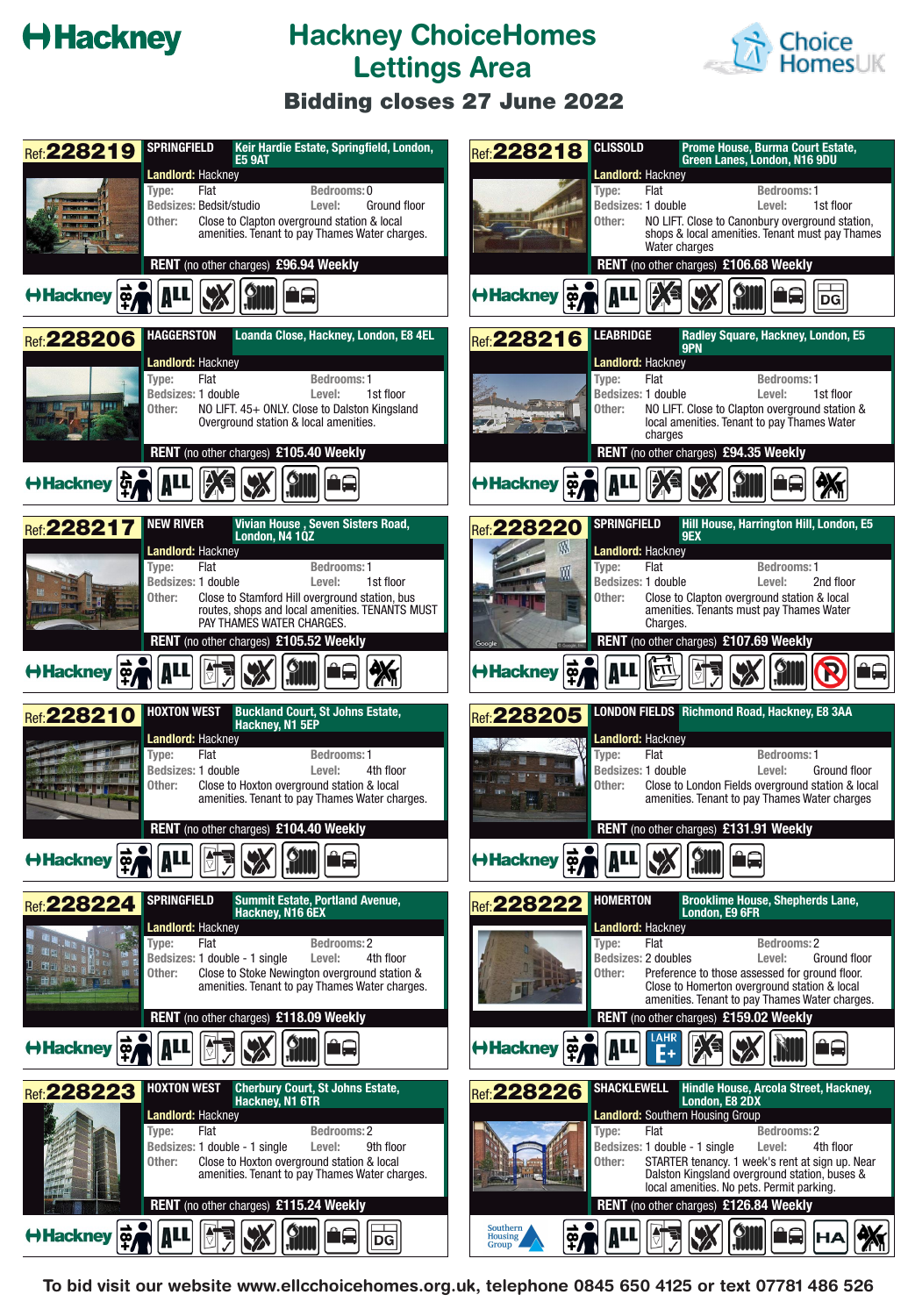## **Hackney**

### **Hackney ChoiceHomes Lettings Area**



#### **Bidding closes 27 June 2022**

| <b>SPRINGFIELD</b><br>Keir Hardie Estate, Springfield, London,<br><b>Ref: 228219</b><br><b>E5 9AT</b>                                                                                                                                                                  | <b>CLISSOLD</b><br><b>Prome House, Burma Court Estate.</b><br>Ref: 228218<br>Green Lanes, London, N16 9DU                                                                                                                                                                                                                     |
|------------------------------------------------------------------------------------------------------------------------------------------------------------------------------------------------------------------------------------------------------------------------|-------------------------------------------------------------------------------------------------------------------------------------------------------------------------------------------------------------------------------------------------------------------------------------------------------------------------------|
| Landlord: Hackney<br>Flat<br>Bedrooms: 0<br>Type:<br><b>Bedsizes: Bedsit/studio</b><br>Level:<br>Ground floor<br>Close to Clapton overground station & local<br>Other:<br>amenities. Tenant to pay Thames Water charges.                                               | <b>Landlord: Hackney</b><br>Flat<br><b>Bedrooms: 1</b><br>Type:<br>Bedsizes: 1 double<br>Level:<br>1st floor<br>Other:<br>NO LIFT. Close to Canonbury overground station,<br>shops & local amenities. Tenant must pay Thames<br>Water charges                                                                                 |
| RENT (no other charges) £96.94 Weekly<br>$ \vec{\mathfrak{p}} $<br>H Hackney                                                                                                                                                                                           | RENT (no other charges) £106.68 Weekly<br>∣ื่≌ุ<br><b>HHackney</b><br>DG                                                                                                                                                                                                                                                      |
| <b>HAGGERSTON</b><br>Loanda Close, Hackney, London, E8 4EL<br>Ref: 228206                                                                                                                                                                                              | <b>LEABRIDGE</b><br>Radley Square, Hackney, London, E5<br>Ref: 228216<br>9PN                                                                                                                                                                                                                                                  |
| Landlord: Hackney<br>Flat<br>Bedrooms: 1<br>Type:<br>1st floor<br>Bedsizes: 1 double<br>Level:<br>m<br>NO LIFT. 45+ ONLY. Close to Dalston Kingsland<br>Other:<br>Overground station & local amenities.                                                                | <b>Landlord: Hackney</b><br>Type:<br>Flat<br><b>Bedrooms: 1</b><br>1st floor<br>Bedsizes: 1 double<br>Level:<br>Other:<br>NO LIFT. Close to Clapton overground station &<br>local amenities. Tenant to pay Thames Water<br>charges                                                                                            |
| <b>RENT</b> (no other charges) £105.40 Weekly<br>$ \phi \rangle$<br><b>←Hackney</b>                                                                                                                                                                                    | <b>RENT</b> (no other charges) £94.35 Weekly<br>$\frac{1}{2}$<br><b>HHackney</b>                                                                                                                                                                                                                                              |
| <b>NEW RIVER</b><br>Vivian House, Seven Sisters Road,<br>Ref: 228217<br>London, N4 1QZ                                                                                                                                                                                 | <b>SPRINGFIELD</b><br>Hill House, Harrington Hill, London, E5<br>Ref: 228220<br>9EX<br>Ŵ,                                                                                                                                                                                                                                     |
| Landlord: Hackney<br>Flat<br><b>Bedrooms: 1</b><br>Type:<br>Bedsizes: 1 double<br>Level:<br>1st floor<br>Close to Stamford Hill overground station, bus<br>Other:<br>routes, shops and local amenities. TENANTS MUST<br>PAY THAMES WATER CHARGES.                      | Landlord: Hackney<br>Flat<br><b>Bedrooms: 1</b><br>Type:<br>Bedsizes: 1 double<br>Level:<br>2nd floor<br>Close to Clapton overground station & local<br>Other:<br>amenities. Tenants must pay Thames Water<br>Charges.                                                                                                        |
| RENT (no other charges) £105.52 Weekly<br>Hackney 0                                                                                                                                                                                                                    | RENT (no other charges) £107.69 Weekly<br>Hackney &<br>ûQ                                                                                                                                                                                                                                                                     |
| <b>HOXTON WEST</b><br><b>Buckland Court, St Johns Estate,</b><br>Ref: 228210<br>Hackney, N1 5EP<br><b>Landlord: Hackney</b>                                                                                                                                            | LONDON FIELDS Richmond Road, Hackney, E8 3AA<br><b>Ref: 228205</b><br>Landlord: Hackney                                                                                                                                                                                                                                       |
| Type:<br>Flat<br><b>Bedrooms: 1</b><br>Bedsizes: 1 double<br>Level:<br>4th floor<br>Close to Hoxton overground station & local<br>Other:<br>amenities. Tenant to pay Thames Water charges.                                                                             | Flat<br>Type:<br><b>Bedrooms: 1</b><br>Bedsizes: 1 double<br>Level:<br>Ground floor<br>Other:<br>Close to London Fields overground station & local<br>amenities. Tenant to pay Thames Water charges                                                                                                                           |
| <b>RENT</b> (no other charges) £104.40 Weekly<br>$\rightarrow$ 0 and red my Kini an<br>Hackney of                                                                                                                                                                      | RENT (no other charges) £131.91 Weekly<br>$\rightarrow$ 0 $\overline{)}$ $\overline{)}$ $\overline{)}$ $\overline{)}$ $\overline{)}$ $\overline{)}$ $\overline{)}$ $\overline{)}$ $\overline{)}$ $\overline{)}$<br>Hackney   9<br>∎ख                                                                                          |
| <b>SPRINGFIELD</b><br><b>Summit Estate, Portland Avenue,</b><br>Ref: 228224<br>Hackney, N16 6EX                                                                                                                                                                        | <b>HOMERTON</b><br><b>Brooklime House, Shepherds Lane,</b><br>Ref: 228222<br>London, E9 6FR                                                                                                                                                                                                                                   |
| Landlord: Hackney<br>Type:<br>Flat<br>Bedrooms: 2<br>a la la<br>Cantilla<br>Cantilla<br>Bedsizes: 1 double - 1 single<br>4th floor<br>Level:<br>Other:<br>Close to Stoke Newington overground station &<br>田田 四十 町 五<br>amenities. Tenant to pay Thames Water charges. | Landlord: Hackney<br>Flat<br>Bedrooms: 2<br>Type:<br>Bedsizes: 2 doubles<br>Level:<br>Ground floor<br>Preference to those assessed for ground floor.<br>Other:<br>Close to Homerton overground station & local<br>amenities. Tenant to pay Thames Water charges.                                                              |
| <b>RENT</b> (no other charges) £118.09 Weekly<br>$\frac{1}{2}$<br><b>←Hackney</b>                                                                                                                                                                                      | <b>RENT</b> (no other charges) £159.02 Weekly<br>$ \vec{\mathbf{e}} $<br>≙≘∣<br>H Hackney                                                                                                                                                                                                                                     |
| <b>HOXTON WEST</b><br><b>Cherbury Court, St Johns Estate,</b><br>Ref: 228223<br>Hackney, N1 6TR                                                                                                                                                                        | <b>SHACKLEWELL</b><br>Hindle House, Arcola Street, Hackney,<br>Ref: 228226<br>London, E8 2DX                                                                                                                                                                                                                                  |
| Landlord: Hackney<br>Flat<br><b>Bedrooms: 2</b><br>Type:<br>Bedsizes: 1 double - 1 single<br>9th floor<br>Level:<br>Other:<br>Close to Hoxton overground station & local<br>amenities. Tenant to pay Thames Water charges.<br>RENT (no other charges) £115.24 Weekly   | Landlord: Southern Housing Group<br>Bedrooms: 2<br>Flat<br>Type:<br>Bedsizes: 1 double - 1 single<br>Level:<br>4th floor<br>STARTER tenancy. 1 week's rent at sign up. Near<br>Other:<br>Dalston Kingsland overground station, buses &<br>local amenities. No pets. Permit parking.<br>RENT (no other charges) £126.84 Weekly |
| PÊ<br>阿<br>$\sqrt{2}$<br><b>←Hackney</b><br>$ \mathbf{DG} $                                                                                                                                                                                                            | Southern<br>$\vec{P}$<br>Housing<br>Group                                                                                                                                                                                                                                                                                     |

**To bid visit our website www.ellcchoicehomes.org.uk, telephone 0845 650 4125 or text 07781 486 526**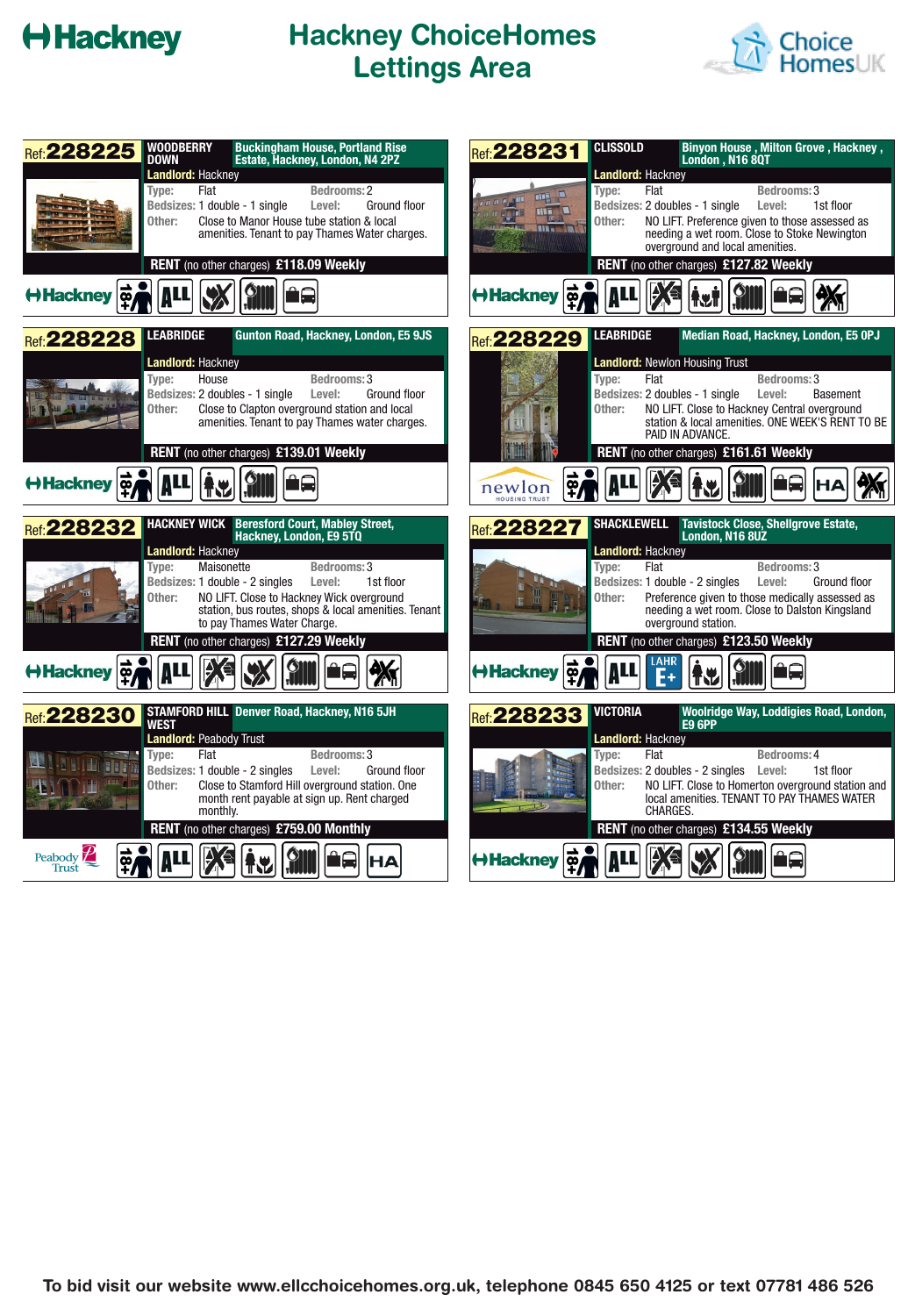# **Hackney**

### **Hackney ChoiceHomes Lettings Area**



| <b>Ref: 228225</b>            | <b>Buckingham House, Portland Rise</b><br><b>WOODBERRY</b><br><b>DOWN</b><br>Estate, Hackney, London, N4 2PZ                                                                                                                                                                                                                                                                               | <b>CLISSOLD</b><br>Ref: 228231                                                             | <b>Binyon House, Milton Grove, Hackney,</b><br>London, N16 8QT                                                                                                                                                                                                                                                                                          |
|-------------------------------|--------------------------------------------------------------------------------------------------------------------------------------------------------------------------------------------------------------------------------------------------------------------------------------------------------------------------------------------------------------------------------------------|--------------------------------------------------------------------------------------------|---------------------------------------------------------------------------------------------------------------------------------------------------------------------------------------------------------------------------------------------------------------------------------------------------------------------------------------------------------|
|                               | <b>Landlord: Hackney</b><br>Flat<br><b>Bedrooms: 2</b><br>Type:<br>Bedsizes: 1 double - 1 single<br>Level:<br>Ground floor<br>Close to Manor House tube station & local<br>Other:<br>amenities. Tenant to pay Thames Water charges.                                                                                                                                                        | Type:<br>ma <b>L</b><br><u>u n 1,500</u><br>TITLE<br><b>FLAME</b><br>Other:<br><b>HILL</b> | <b>Landlord: Hackney</b><br>Bedrooms: 3<br>Flat<br>1st floor<br>Bedsizes: 2 doubles - 1 single<br>Level:<br>NO LIFT. Preference given to those assessed as<br>needing a wet room. Close to Stoke Newington<br>overground and local amenities.                                                                                                           |
| Hackney                       | <b>RENT</b> (no other charges) £118.09 Weekly                                                                                                                                                                                                                                                                                                                                              | $\frac{1}{2}$<br>H Hackney                                                                 | RENT (no other charges) £127.82 Weekly<br>代加                                                                                                                                                                                                                                                                                                            |
| Ref: 228228                   | <b>LEABRIDGE</b><br>Gunton Road, Hackney, London, E5 9JS<br>Landlord: Hackney<br>Type:<br>House<br>Bedrooms: 3<br>Bedsizes: 2 doubles - 1 single<br>Level:<br>Ground floor<br>Other:<br>Close to Clapton overground station and local                                                                                                                                                      | <b>LEABRIDGE</b><br>Ref: 228229<br>Type:<br>Other:                                         | Median Road, Hackney, London, E5 OPJ<br><b>Landlord: Newlon Housing Trust</b><br>Flat<br>Bedrooms: 3<br>Bedsizes: 2 doubles - 1 single<br>Level:<br><b>Basement</b><br>NO LIFT. Close to Hackney Central overground                                                                                                                                     |
| Hackney &                     | amenities. Tenant to pay Thames water charges.<br>RENT (no other charges) £139.01 Weekly<br>M bad                                                                                                                                                                                                                                                                                          | newlon<br><b>HOUSING TRUST</b>                                                             | station & local amenities. ONE WEEK'S RENT TO BE<br>PAID IN ADVANCE.<br>RENT (no other charges) £161.61 Weekly                                                                                                                                                                                                                                          |
| Ref: 228232                   | <b>HACKNEY WICK Beresford Court, Mabley Street,</b><br>Hackney, London, E9 5TQ<br>Landlord: Hackney<br>Maisonette<br>Bedrooms: 3<br>Type:<br>Bedsizes: 1 double - 2 singles<br>1st floor<br>Level:<br>NO LIFT. Close to Hackney Wick overground<br>Other:<br>station, bus routes, shops & local amenities. Tenant<br>to pay Thames Water Charge.<br>RENT (no other charges) £127.29 Weekly | <b>Ref: 228227</b><br>Type:<br>Other:                                                      | <b>SHACKLEWELL Tavistock Close, Shellgrove Estate,</b><br>London, N16 8UZ<br>Landlord: Hackney<br>Flat<br>Bedrooms: 3<br>Bedsizes: 1 double - 2 singles<br>Level:<br>Ground floor<br>Preference given to those medically assessed as<br>needing a wet room. Close to Dalston Kingsland<br>overground station.<br>RENT (no other charges) £123.50 Weekly |
| Hackney &                     |                                                                                                                                                                                                                                                                                                                                                                                            | Hackney \$                                                                                 | LAHR                                                                                                                                                                                                                                                                                                                                                    |
| Ref: 228230<br><b>Rain</b>    | STAMFORD HILL Denver Road, Hackney, N16 5JH<br>WEST<br><b>Landlord: Peabody Trust</b><br>Type:<br>Flat<br>Bedrooms: 3<br>Bedsizes: 1 double - 2 singles<br>Level:<br>Ground floor<br>Close to Stamford Hill overground station. One<br>Other:<br>month rent payable at sign up. Rent charged<br>monthly.<br><b>RENT</b> (no other charges) £759.00 Monthly                                 | <b>VICTORIA</b><br>Ref: 228233<br>Type:<br>Other:                                          | Woolridge Way, Loddigies Road, London,<br><b>E9 6PP</b><br>Landlord: Hackney<br>Flat<br>Bedrooms: 4<br>Bedsizes: 2 doubles - 2 singles<br>Level:<br>1st floor<br>NO LIFT. Close to Homerton overground station and<br>local amenities. TENANT TO PAY THAMES WATER<br>CHARGES.<br>RENT (no other charges) £134.55 Weekly                                 |
| Peabody $\mathbb{Z}$<br>Trust | HА<br>w                                                                                                                                                                                                                                                                                                                                                                                    | $\frac{1}{2}$<br><b>←Hackney</b>                                                           |                                                                                                                                                                                                                                                                                                                                                         |